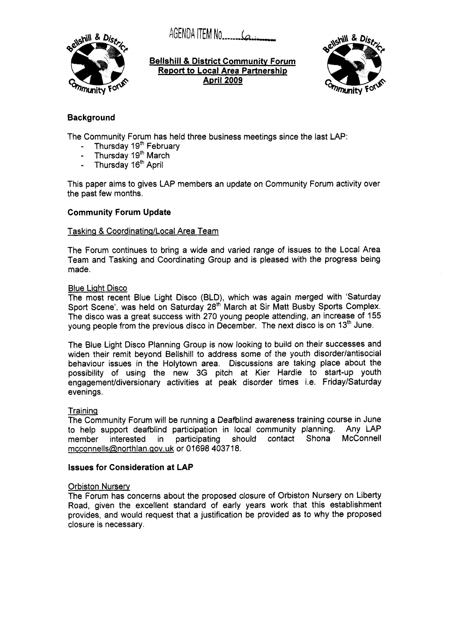AGENDA ITEM NO. 6



**Bellshill** & **District Community Forum Report to Local Area Partnership April2009** 



## **Background**

The Community Forum has held three business meetings since the last LAP:

- Thursday 19<sup>th</sup> February<br>- Thursday 19<sup>th</sup> March
- Thursday 19<sup>th</sup> March
- Thursday 16<sup>th</sup> April

This paper aims to gives LAP members an update on Community Forum activity over the past few months.

### **Community Forum Update**

#### Tasking & Coordinating/Local Area Team

The Forum continues to bring a wide and varied range of issues to the Local Area Team and Tasking and Coordinating Group and is pleased with the progress being made.

#### Blue Light Disco

The most recent Blue Light Disco (BLD), which was again merged with 'Saturday Sport Scene', was held on Saturday 28'h March at Sir Matt Busby Sports Complex. The disco was a great success with 270 young people attending, an increase of 155 young people from the previous disco in December. The next disco is on 13<sup>th</sup> June.

The Blue Light Disco Planning Group is now looking to build on their successes and widen their remit beyond Bellshill to address some of the youth disorder/antisocial behaviour issues in the Holytown area. Discussions are taking place about the possibility of using the new 3G pitch at Kier Hardie to start-up youth engagement/diversionary activities at peak disorder times i.e. Friday/Saturday evenings.

#### Traininq

The Community Forum will be running a Deafblind awareness training course in June to help support deafblind participation in local community planning. Any LAP member interested in participating should contact Shona mcconnells@northlan.gov.uk or 01698 403718.

#### **Issues for Consideration at LAP**

#### **Orbiston Nurserv**

The Forum has concerns about the proposed closure of Orbiston Nursery on Liberty Road, given the excellent standard **of** early years work that this establishment provides, and would request that a justification be provided as to why the proposed closure is necessary.